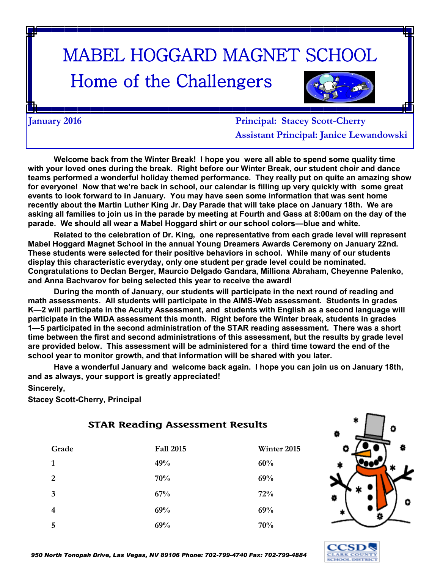# MABEL HOGGARD MAGNET SCHOOL

## Home of the Challengers



**January 2016 Principal: Stacey Scott-Cherry Assistant Principal: Janice Lewandowski**

**Welcome back from the Winter Break! I hope you were all able to spend some quality time with your loved ones during the break. Right before our Winter Break, our student choir and dance teams performed a wonderful holiday themed performance. They really put on quite an amazing show for everyone! Now that we're back in school, our calendar is filling up very quickly with some great events to look forward to in January. You may have seen some information that was sent home recently about the Martin Luther King Jr. Day Parade that will take place on January 18th. We are asking all families to join us in the parade by meeting at Fourth and Gass at 8:00am on the day of the parade. We should all wear a Mabel Hoggard shirt or our school colors—blue and white.** 

**Related to the celebration of Dr. King, one representative from each grade level will represent Mabel Hoggard Magnet School in the annual Young Dreamers Awards Ceremony on January 22nd. These students were selected for their positive behaviors in school. While many of our students display this characteristic everyday, only one student per grade level could be nominated. Congratulations to Declan Berger, Maurcio Delgado Gandara, Milliona Abraham, Cheyenne Palenko, and Anna Bachvarov for being selected this year to receive the award!**

**During the month of January, our students will participate in the next round of reading and math assessments. All students will participate in the AIMS-Web assessment. Students in grades K—2 will participate in the Acuity Assessment, and students with English as a second language will participate in the WIDA assessment this month. Right before the Winter break, students in grades 1—5 participated in the second administration of the STAR reading assessment. There was a short time between the first and second administrations of this assessment, but the results by grade level are provided below. This assessment will be administered for a third time toward the end of the school year to monitor growth, and that information will be shared with you later.** 

**Have a wonderful January and welcome back again. I hope you can join us on January 18th, and as always, your support is greatly appreciated!**

**Sincerely,**

**Stacey Scott-Cherry, Principal**

#### **STAR Reading Assessment Results Grade Fall 2015 Winter 2015 1 49% 60% 2 70% 69% 3 67% 72% 4 69% 69% 5 69% 70%**



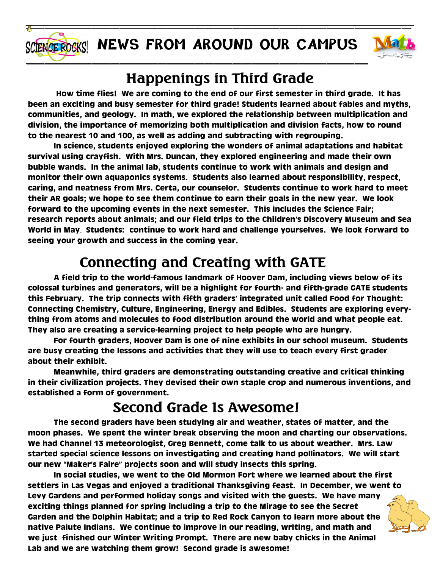



## **Happenings in Third Grade**

 **How time flies! We are coming to the end of our first semester in third grade. It has been an exciting and busy semester for third grade! Students learned about fables and myths, communities, and geology. In math, we explored the relationship between multiplication and division, the importance of memorizing both multiplication and division facts, how to round to the nearest 10 and 100, as well as adding and subtracting with regrouping.** 

**In science, students enjoyed exploring the wonders of animal adaptations and habitat survival using crayfish. With Mrs. Duncan, they explored engineering and made their own bubble wands. In the animal lab, students continue to work with animals and design and monitor their own aquaponics systems. Students also learned about responsibility, respect, caring, and neatness from Mrs. Certa, our counselor. Students continue to work hard to meet their AR goals; we hope to see them continue to earn their goals in the new year. We look forward to the upcoming events in the next semester. This includes the Science Fair; research reports about animals; and our field trips to the Children's Discovery Museum and Sea World in May**. **Students: continue to work hard and challenge yourselves. We look forward to seeing your growth and success in the coming year.** 

## **Connecting and Creating with GATE**

**A field trip to the world-famous landmark of Hoover Dam, including views below of its colossal turbines and generators, will be a highlight for fourth- and fifth-grade GATE students this February. The trip connects with fifth graders' integrated unit called Food for Thought: Connecting Chemistry, Culture, Engineering, Energy and Edibles. Students are exploring everything from atoms and molecules to food distribution around the world and what people eat. They also are creating a service-learning project to help people who are hungry.** 

**For fourth graders, Hoover Dam is one of nine exhibits in our school museum. Students are busy creating the lessons and activities that they will use to teach every first grader about their exhibit.** 

**Meanwhile, third graders are demonstrating outstanding creative and critical thinking in their civilization projects. They devised their own staple crop and numerous inventions, and established a form of government.** 

#### **Second Grade Is Awesome!**

**The second graders have been studying air and weather, states of matter, and the moon phases. We spent the winter break observing the moon and charting our observations. We had Channel 13 meteorologist, Greg Bennett, come talk to us about weather. Mrs. Law started special science lessons on investigating and creating hand pollinators. We will start our new "Maker's Faire" projects soon and will study insects this spring.** 

**In social studies, we went to the Old Mormon Fort where we learned about the first settlers in Las Vegas and enjoyed a traditional Thanksgiving feast. In December, we went to Levy Gardens and performed holiday songs and visited with the guests. We have many exciting things planned for spring including a trip to the Mirage to see the Secret Garden and the Dolphin Habitat; and a trip to Red Rock Canyon to learn more about the native Paiute Indians. We continue to improve in our reading, writing, and math and we just finished our Winter Writing Prompt. There are new baby chicks in the Animal Lab and we are watching them grow! Second grade is awesome!**

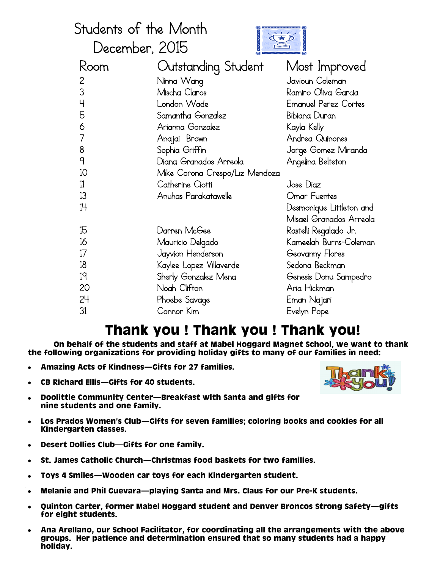| Students of the Month |                                |                             |  |
|-----------------------|--------------------------------|-----------------------------|--|
| December, 2015        |                                |                             |  |
| Room                  | Outstanding Student            | Most Improved               |  |
| $\overline{c}$        | Ninna Wang                     | Javioun Coleman             |  |
| 3                     | Mischa Claros                  | Ramiro Oliva Garcia         |  |
| $\overline{4}$        | London Wade                    | <b>Emanuel Perez Cortes</b> |  |
| 5                     | Samantha Gonzalez              | Bibiana Duran               |  |
| 6                     | Arianna Gonzalez               | Kayla Kelly                 |  |
| $\overline{7}$        | Anajai Brown                   | Andrea Quinones             |  |
| 8                     | Sophia Griffin                 | Jorge Gomez Miranda         |  |
| q                     | Diana Granados Arreola         | Angelina Belteton           |  |
| 10                    | Mike Corona Crespo/Liz Mendoza |                             |  |
| 11                    | Catherine Ciotti               | Jose Diaz                   |  |
| 13                    | Anuhas Parakatawelle           | Omar Fuentes                |  |
| 14                    |                                | Desmonique Littleton and    |  |
|                       |                                | Misael Granados Arreola     |  |
| 15                    | Darren McGee                   | Rastelli Regalado Jr.       |  |
| 16                    | Mauricio Delgado               | Kameelah Burns-Coleman      |  |
| 17                    | Jayvion Henderson              | Geovanny Flores             |  |
| 18                    | Kaylee Lopez Villaverde        | Sedona Beckman              |  |
| 19                    | Sherly Gonzalez Mena           | Genesis Donu Sampedro       |  |
| 20                    | Noah Clifton                   | Aria Hickman                |  |
| 24                    | Phoebe Savage                  | Eman Najari                 |  |
| 31                    | Connor Kim                     | Evelyn Pope                 |  |

#### **Thank you ! Thank you ! Thank you!**

**On behalf of the students and staff at Mabel Hoggard Magnet School, we want to thank the following organizations for providing holiday gifts to many of our families in need:**

- **Amazing Acts of Kindness—Gifts for 27 families.**
- **CB Richard Ellis—Gifts for 40 students.**



- **Doolittle Community Center—Breakfast with Santa and gifts for**   $\bullet$ **nine students and one family.**
- **Los Prados Women's Club—Gifts for seven families; coloring books and cookies for all**   $\bullet$ **Kindergarten classes.**
- **Desert Dollies Club—Gifts for one family.**
- **St. James Catholic Church—Christmas food baskets for two families.**
- **Toys 4 Smiles—Wooden car toys for each Kindergarten student.**  $\bullet$
- **Melanie and Phil Guevara—playing Santa and Mrs. Claus for our Pre-K students.**  $\bullet$
- **Quinton Carter, former Mabel Hoggard student and Denver Broncos Strong Safety—gifts**   $\bullet$ **for eight students.**
- **Ana Arellano, our School Facilitator, for coordinating all the arrangements with the above groups. Her patience and determination ensured that so many students had a happy holiday.**